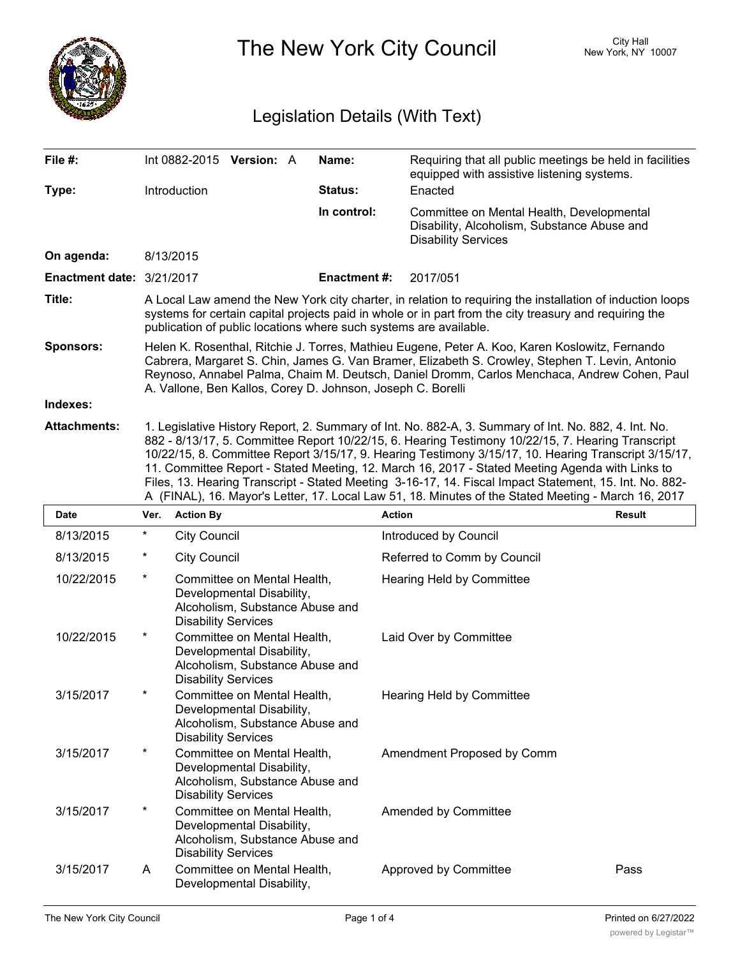

The New York City Council New York, NY 10007

## Legislation Details (With Text)

| File #:                   |                                                                                                                                                                                                                                                                                                                                                                                                                                                                                                                                                                                                                                       | Int 0882-2015 Version: A   |                                                                                             |  | Name:              | Requiring that all public meetings be held in facilities<br>equipped with assistive listening systems.                 |  |  |  |
|---------------------------|---------------------------------------------------------------------------------------------------------------------------------------------------------------------------------------------------------------------------------------------------------------------------------------------------------------------------------------------------------------------------------------------------------------------------------------------------------------------------------------------------------------------------------------------------------------------------------------------------------------------------------------|----------------------------|---------------------------------------------------------------------------------------------|--|--------------------|------------------------------------------------------------------------------------------------------------------------|--|--|--|
| Type:                     |                                                                                                                                                                                                                                                                                                                                                                                                                                                                                                                                                                                                                                       | Introduction               |                                                                                             |  | Status:            | Enacted                                                                                                                |  |  |  |
|                           |                                                                                                                                                                                                                                                                                                                                                                                                                                                                                                                                                                                                                                       |                            |                                                                                             |  | In control:        | Committee on Mental Health, Developmental<br>Disability, Alcoholism, Substance Abuse and<br><b>Disability Services</b> |  |  |  |
| On agenda:                |                                                                                                                                                                                                                                                                                                                                                                                                                                                                                                                                                                                                                                       | 8/13/2015                  |                                                                                             |  |                    |                                                                                                                        |  |  |  |
| Enactment date: 3/21/2017 |                                                                                                                                                                                                                                                                                                                                                                                                                                                                                                                                                                                                                                       |                            |                                                                                             |  | <b>Enactment#:</b> | 2017/051                                                                                                               |  |  |  |
| Title:                    | A Local Law amend the New York city charter, in relation to requiring the installation of induction loops<br>systems for certain capital projects paid in whole or in part from the city treasury and requiring the<br>publication of public locations where such systems are available.                                                                                                                                                                                                                                                                                                                                              |                            |                                                                                             |  |                    |                                                                                                                        |  |  |  |
| <b>Sponsors:</b>          | Helen K. Rosenthal, Ritchie J. Torres, Mathieu Eugene, Peter A. Koo, Karen Koslowitz, Fernando<br>Cabrera, Margaret S. Chin, James G. Van Bramer, Elizabeth S. Crowley, Stephen T. Levin, Antonio<br>Reynoso, Annabel Palma, Chaim M. Deutsch, Daniel Dromm, Carlos Menchaca, Andrew Cohen, Paul<br>A. Vallone, Ben Kallos, Corey D. Johnson, Joseph C. Borelli                                                                                                                                                                                                                                                                       |                            |                                                                                             |  |                    |                                                                                                                        |  |  |  |
| Indexes:                  |                                                                                                                                                                                                                                                                                                                                                                                                                                                                                                                                                                                                                                       |                            |                                                                                             |  |                    |                                                                                                                        |  |  |  |
| <b>Attachments:</b>       | 1. Legislative History Report, 2. Summary of Int. No. 882-A, 3. Summary of Int. No. 882, 4. Int. No.<br>882 - 8/13/17, 5. Committee Report 10/22/15, 6. Hearing Testimony 10/22/15, 7. Hearing Transcript<br>10/22/15, 8. Committee Report 3/15/17, 9. Hearing Testimony 3/15/17, 10. Hearing Transcript 3/15/17,<br>11. Committee Report - Stated Meeting, 12. March 16, 2017 - Stated Meeting Agenda with Links to<br>Files, 13. Hearing Transcript - Stated Meeting 3-16-17, 14. Fiscal Impact Statement, 15. Int. No. 882-<br>A (FINAL), 16. Mayor's Letter, 17. Local Law 51, 18. Minutes of the Stated Meeting - March 16, 2017 |                            |                                                                                             |  |                    |                                                                                                                        |  |  |  |
| Date                      |                                                                                                                                                                                                                                                                                                                                                                                                                                                                                                                                                                                                                                       | Ver. Action By             |                                                                                             |  | <b>Action</b>      | Result                                                                                                                 |  |  |  |
| 8/13/2015                 | *                                                                                                                                                                                                                                                                                                                                                                                                                                                                                                                                                                                                                                     | <b>City Council</b>        |                                                                                             |  |                    | Introduced by Council                                                                                                  |  |  |  |
|                           |                                                                                                                                                                                                                                                                                                                                                                                                                                                                                                                                                                                                                                       |                            |                                                                                             |  |                    |                                                                                                                        |  |  |  |
| 8/13/2015                 | $\ast$                                                                                                                                                                                                                                                                                                                                                                                                                                                                                                                                                                                                                                | <b>City Council</b>        |                                                                                             |  |                    | Referred to Comm by Council                                                                                            |  |  |  |
| 10/22/2015                | *                                                                                                                                                                                                                                                                                                                                                                                                                                                                                                                                                                                                                                     | <b>Disability Services</b> | Committee on Mental Health,<br>Developmental Disability,<br>Alcoholism, Substance Abuse and |  |                    | <b>Hearing Held by Committee</b>                                                                                       |  |  |  |
| 10/22/2015                | *                                                                                                                                                                                                                                                                                                                                                                                                                                                                                                                                                                                                                                     | <b>Disability Services</b> | Committee on Mental Health,<br>Developmental Disability,<br>Alcoholism, Substance Abuse and |  |                    | Laid Over by Committee                                                                                                 |  |  |  |
| 3/15/2017                 |                                                                                                                                                                                                                                                                                                                                                                                                                                                                                                                                                                                                                                       | <b>Disability Services</b> | Committee on Mental Health,<br>Developmental Disability,<br>Alcoholism, Substance Abuse and |  |                    | Hearing Held by Committee                                                                                              |  |  |  |
| 3/15/2017                 | *                                                                                                                                                                                                                                                                                                                                                                                                                                                                                                                                                                                                                                     | <b>Disability Services</b> | Committee on Mental Health,<br>Developmental Disability,<br>Alcoholism, Substance Abuse and |  |                    | Amendment Proposed by Comm                                                                                             |  |  |  |
| 3/15/2017                 | *                                                                                                                                                                                                                                                                                                                                                                                                                                                                                                                                                                                                                                     | <b>Disability Services</b> | Committee on Mental Health,<br>Developmental Disability,<br>Alcoholism, Substance Abuse and |  |                    | Amended by Committee                                                                                                   |  |  |  |

Disability Services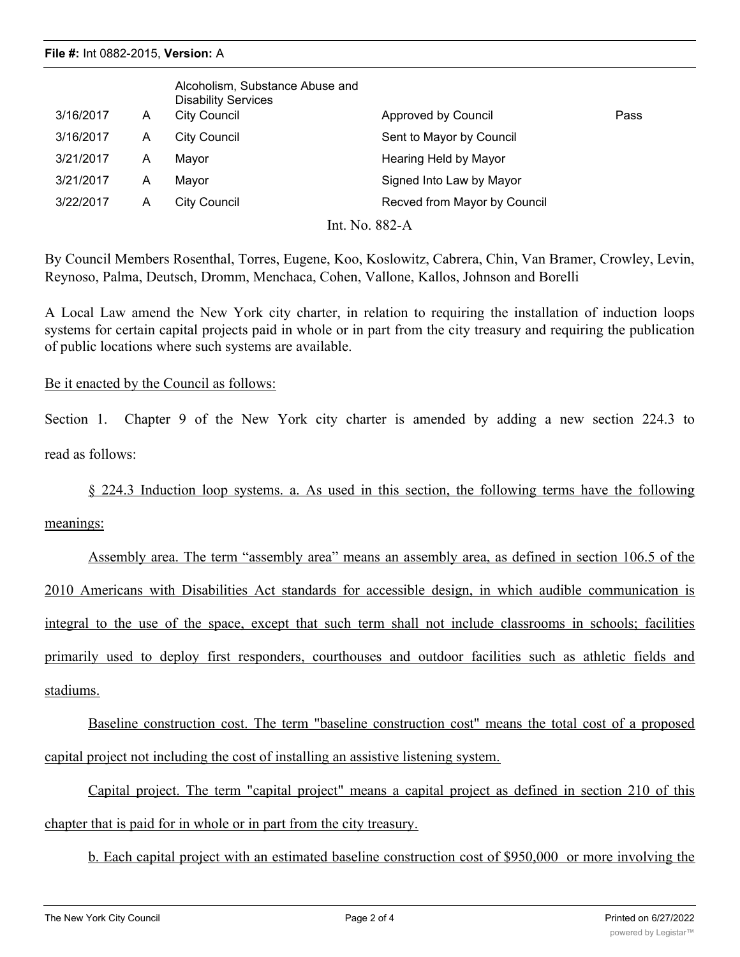| 3/16/2017      | A | Alcoholism, Substance Abuse and<br><b>Disability Services</b><br>City Council | Approved by Council          | Pass |  |  |  |
|----------------|---|-------------------------------------------------------------------------------|------------------------------|------|--|--|--|
| 3/16/2017      | A | <b>City Council</b>                                                           | Sent to Mayor by Council     |      |  |  |  |
| 3/21/2017      | A | Mayor                                                                         | Hearing Held by Mayor        |      |  |  |  |
| 3/21/2017      | A | Mayor                                                                         | Signed Into Law by Mayor     |      |  |  |  |
| 3/22/2017      | A | <b>City Council</b>                                                           | Recved from Mayor by Council |      |  |  |  |
| Int. No. 882-A |   |                                                                               |                              |      |  |  |  |

By Council Members Rosenthal, Torres, Eugene, Koo, Koslowitz, Cabrera, Chin, Van Bramer, Crowley, Levin, Reynoso, Palma, Deutsch, Dromm, Menchaca, Cohen, Vallone, Kallos, Johnson and Borelli

A Local Law amend the New York city charter, in relation to requiring the installation of induction loops systems for certain capital projects paid in whole or in part from the city treasury and requiring the publication of public locations where such systems are available.

## Be it enacted by the Council as follows:

Section 1. Chapter 9 of the New York city charter is amended by adding a new section 224.3 to read as follows:

§ 224.3 Induction loop systems. a. As used in this section, the following terms have the following

meanings:

Assembly area. The term "assembly area" means an assembly area, as defined in section 106.5 of the 2010 Americans with Disabilities Act standards for accessible design, in which audible communication is integral to the use of the space, except that such term shall not include classrooms in schools; facilities primarily used to deploy first responders, courthouses and outdoor facilities such as athletic fields and stadiums.

Baseline construction cost. The term "baseline construction cost" means the total cost of a proposed capital project not including the cost of installing an assistive listening system.

Capital project. The term "capital project" means a capital project as defined in section 210 of this chapter that is paid for in whole or in part from the city treasury.

b. Each capital project with an estimated baseline construction cost of \$950,000 or more involving the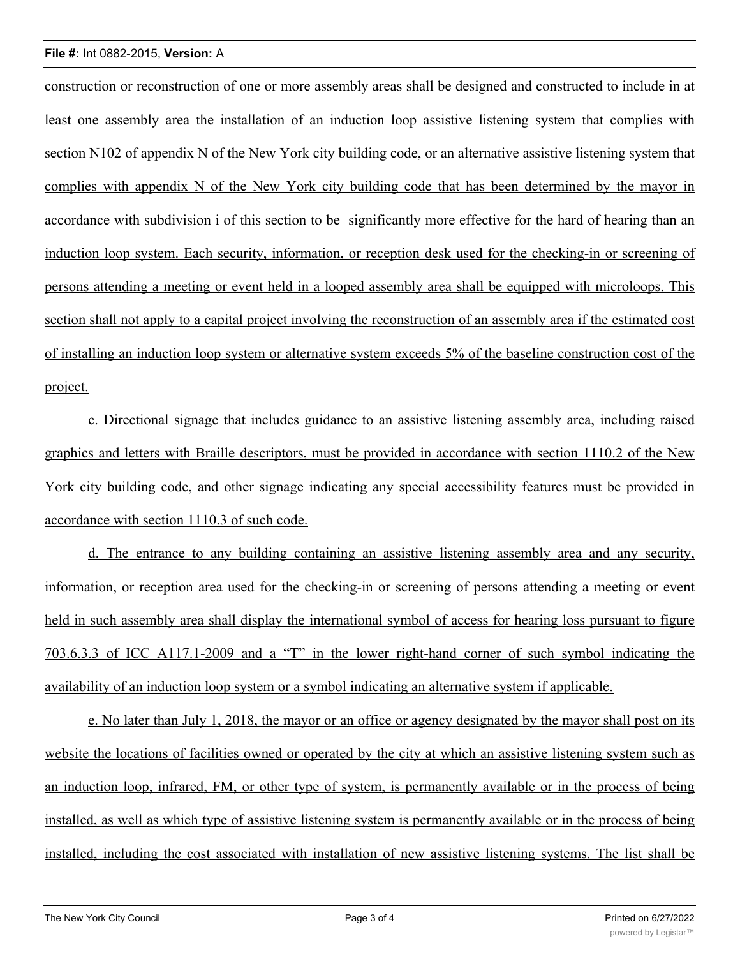construction or reconstruction of one or more assembly areas shall be designed and constructed to include in at least one assembly area the installation of an induction loop assistive listening system that complies with section N102 of appendix N of the New York city building code, or an alternative assistive listening system that complies with appendix N of the New York city building code that has been determined by the mayor in accordance with subdivision i of this section to be significantly more effective for the hard of hearing than an induction loop system. Each security, information, or reception desk used for the checking-in or screening of persons attending a meeting or event held in a looped assembly area shall be equipped with microloops. This section shall not apply to a capital project involving the reconstruction of an assembly area if the estimated cost of installing an induction loop system or alternative system exceeds 5% of the baseline construction cost of the project.

c. Directional signage that includes guidance to an assistive listening assembly area, including raised graphics and letters with Braille descriptors, must be provided in accordance with section 1110.2 of the New York city building code, and other signage indicating any special accessibility features must be provided in accordance with section 1110.3 of such code.

d. The entrance to any building containing an assistive listening assembly area and any security, information, or reception area used for the checking-in or screening of persons attending a meeting or event held in such assembly area shall display the international symbol of access for hearing loss pursuant to figure 703.6.3.3 of ICC A117.1-2009 and a "T" in the lower right-hand corner of such symbol indicating the availability of an induction loop system or a symbol indicating an alternative system if applicable.

e. No later than July 1, 2018, the mayor or an office or agency designated by the mayor shall post on its website the locations of facilities owned or operated by the city at which an assistive listening system such as an induction loop, infrared, FM, or other type of system, is permanently available or in the process of being installed, as well as which type of assistive listening system is permanently available or in the process of being installed, including the cost associated with installation of new assistive listening systems. The list shall be